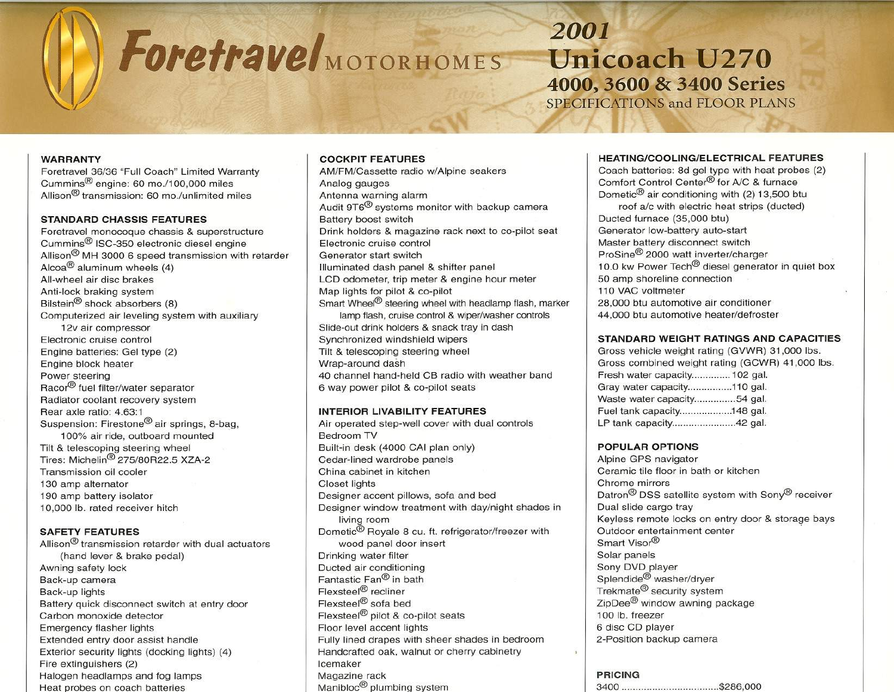# ForetraveI<sub>MOTORHOMES</sub>

**2001 Unicoach U270 4000, 3600 & 3400 Series** SPECIFICATIONS and FLOOR PLANS

### **WARRANTY**

Foretravel 36/36 "Full Coach" Limited Warranty Cummins@ engine: 60 *mo.l100,000* miles Allison $<sup>®</sup>$  transmission: 60 mo./unlimited miles</sup>

## **STANDARD CHASSIS FEATURES**

Foretravel monocoque chassis & superstructure Cummins@ ISC-350 electronic diesel engine Allison@ MH 3000 6 speed transmission with retarder Alcoa@ aluminum wheels (4) All-wheel air disc brakes Anti-lock braking system Bilstein@ shock absorbers (8) Computerized air leveling system with auxiliary 12v air compressor Electronic cruise control Engine batteries: Gel type (2) Engine block heater Power steering Racor® fuel filter/water separator Radiator coolant recovery system Rear axle ratio: 4.63:1 Suspension: Firestone@ air springs, 8-bag, 100% air ride, outboard mounted Tilt & telescoping steering wheel Tires: Michelin@ 275/80R22.5 XZA-2 Transmission oil cooler 130 amp alternator 190 amp battery isolator 10,000 lb. rated receiver hitch

# **SAFETY FEATURES**

Allison $<sup>®</sup>$  transmission retarder with dual actuators</sup> (hand lever & brake pedal) Awning safety lock Back-up camera Back-up lights Battery quick disconnect switch at entry door Carbon monoxide detector Emergency flasher lights Extended entry door assist handle Exterior security lights (docking lights) (4) Fire extinguishers (2) Halogen headlamps and fog lamps Heat probes on coach batteries

# **COCKPIT FEATURES**

AM/FM/Cassette radio w/Alpine seakers Analog gauges Antenna warning alarm Audit 9T6@ systems monitor with backup camera Battery boost switch Drink holders & magazine rack next to co-pilot seat Electronic cruise control Generator start switch Illuminated dash panel & shifter panel LCD odometer, trip meter & engine hour meter Map lights for pilot & co-pilot Smart Wheel<sup>®</sup> steering wheel with headlamp flash, marker lamp flash, cruise control & wiper/washer controls Slide-out drink holders & snack tray in dash Synchronized windshield wipers Tilt & telescoping steering wheel Wrap-around dash 40 channel hand-held CB radio with weather band 6 way power pilot & co-pilot seats

'- If - -- <sup>~</sup> .hv,

## **INTERIOR LIVABILITY FEATURES**

Air operated step-well cover with dual controls Bedroom TV Built-in desk (4000 CAI plan only) Cedar-lined wardrobe panels China cabinet in kitchen Closet lights Designer accent pillows, sofa and bed Designer window treatment with day/night shades in living room Dometic@ Royale 8 cu. ft. refrigerator/freezer with wood panel door insert Drinking water filter Ducted air conditioning Fantastic Fan@ in bath Flexsteel@ recliner Flexsteel@ sofa bed Flexsteel@ pilot & co-pilot seats Floor level accent lights Fully lined drapes with sheer shades in bedroom Handcrafted oak, walnut or cherry cabinetry Icemaker Magazine rack Manibloc<sup>®</sup> plumbing system

# **HEATING/COOLING/ELECTRICALFEATURES**

Coach batteries: 8d gel type with heat probes (2) Comfort Control Center<sup>®</sup> for A/C & furnace Dometic@ air conditioning with (2) 13,500 btu roof *alc* with electric heat strips (ducted) Ducted furnace (35,000 btu) Generator low-battery auto-start Master battery disconnect switch ProSine@ 2000 watt inverter/charger \_ 10.0 kw Power Tech<sup>®</sup> diesel generator in quiet box 50 amp shoreline connection 110 VAC voltmeter 28,000 btu automotive air conditioner 44,000 btu automotive heater/defroster

## **STANDARD WEIGHT RATINGS AND CAPACITIES**

Gross vehicle weight rating (GVWR) 31,000 Ibs. Gross combined weight rating (GCWR) 41,000 Ibs. Fresh water capacity.............. 102 gal. Gray water capacity................110 gal. Waste water capacity...............54 gal. Fuel tank capacity....................148 gal. LP tank capacity............................42 gal.

## **POPULAR OPTIONS**

Alpine GPS navigator Ceramic tile floor in bath or kitchen Chrome mirrors Datron<sup>®</sup> DSS satellite system with Sony<sup>®</sup> receiver Dual slide cargo tray<br>Keyless remote locks on entry door & storage bays Outdoor entertainment center Smart Visor® Solar panels Sony DVD player Splendide@ washer/dryer Trekmate@ security system ZipDee@ window awning package 100 lb. freezer 6 disc CD player 2-Position backup camera

## **PRICING**

 $\overline{1}$ 

3400 \$286,000